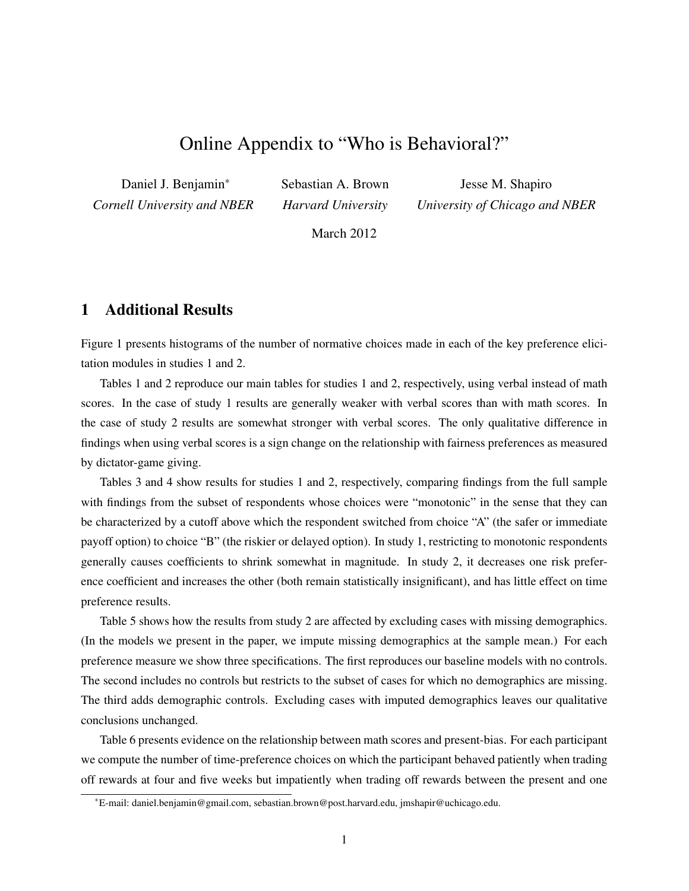# Online Appendix to "Who is Behavioral?"

Daniel J. Benjamin<sup>∗</sup> *Cornell University and NBER*

Sebastian A. Brown *Harvard University*

Jesse M. Shapiro *University of Chicago and NBER*

March 2012

## 1 Additional Results

Figure 1 presents histograms of the number of normative choices made in each of the key preference elicitation modules in studies 1 and 2.

Tables 1 and 2 reproduce our main tables for studies 1 and 2, respectively, using verbal instead of math scores. In the case of study 1 results are generally weaker with verbal scores than with math scores. In the case of study 2 results are somewhat stronger with verbal scores. The only qualitative difference in findings when using verbal scores is a sign change on the relationship with fairness preferences as measured by dictator-game giving.

Tables 3 and 4 show results for studies 1 and 2, respectively, comparing findings from the full sample with findings from the subset of respondents whose choices were "monotonic" in the sense that they can be characterized by a cutoff above which the respondent switched from choice "A" (the safer or immediate payoff option) to choice "B" (the riskier or delayed option). In study 1, restricting to monotonic respondents generally causes coefficients to shrink somewhat in magnitude. In study 2, it decreases one risk preference coefficient and increases the other (both remain statistically insignificant), and has little effect on time preference results.

Table 5 shows how the results from study 2 are affected by excluding cases with missing demographics. (In the models we present in the paper, we impute missing demographics at the sample mean.) For each preference measure we show three specifications. The first reproduces our baseline models with no controls. The second includes no controls but restricts to the subset of cases for which no demographics are missing. The third adds demographic controls. Excluding cases with imputed demographics leaves our qualitative conclusions unchanged.

Table 6 presents evidence on the relationship between math scores and present-bias. For each participant we compute the number of time-preference choices on which the participant behaved patiently when trading off rewards at four and five weeks but impatiently when trading off rewards between the present and one

<sup>∗</sup>E-mail: daniel.benjamin@gmail.com, sebastian.brown@post.harvard.edu, jmshapir@uchicago.edu.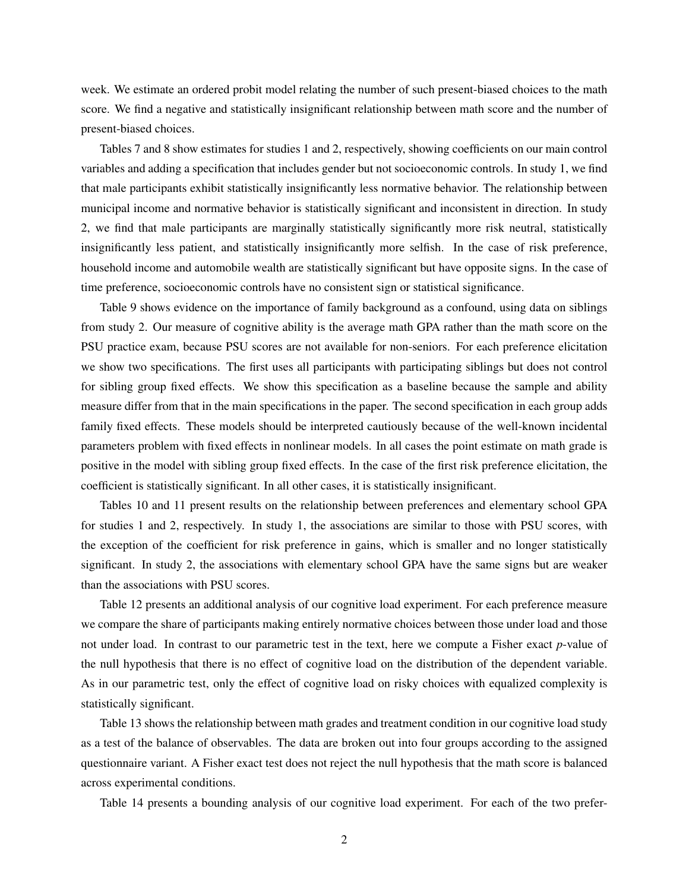week. We estimate an ordered probit model relating the number of such present-biased choices to the math score. We find a negative and statistically insignificant relationship between math score and the number of present-biased choices.

Tables 7 and 8 show estimates for studies 1 and 2, respectively, showing coefficients on our main control variables and adding a specification that includes gender but not socioeconomic controls. In study 1, we find that male participants exhibit statistically insignificantly less normative behavior. The relationship between municipal income and normative behavior is statistically significant and inconsistent in direction. In study 2, we find that male participants are marginally statistically significantly more risk neutral, statistically insignificantly less patient, and statistically insignificantly more selfish. In the case of risk preference, household income and automobile wealth are statistically significant but have opposite signs. In the case of time preference, socioeconomic controls have no consistent sign or statistical significance.

Table 9 shows evidence on the importance of family background as a confound, using data on siblings from study 2. Our measure of cognitive ability is the average math GPA rather than the math score on the PSU practice exam, because PSU scores are not available for non-seniors. For each preference elicitation we show two specifications. The first uses all participants with participating siblings but does not control for sibling group fixed effects. We show this specification as a baseline because the sample and ability measure differ from that in the main specifications in the paper. The second specification in each group adds family fixed effects. These models should be interpreted cautiously because of the well-known incidental parameters problem with fixed effects in nonlinear models. In all cases the point estimate on math grade is positive in the model with sibling group fixed effects. In the case of the first risk preference elicitation, the coefficient is statistically significant. In all other cases, it is statistically insignificant.

Tables 10 and 11 present results on the relationship between preferences and elementary school GPA for studies 1 and 2, respectively. In study 1, the associations are similar to those with PSU scores, with the exception of the coefficient for risk preference in gains, which is smaller and no longer statistically significant. In study 2, the associations with elementary school GPA have the same signs but are weaker than the associations with PSU scores.

Table 12 presents an additional analysis of our cognitive load experiment. For each preference measure we compare the share of participants making entirely normative choices between those under load and those not under load. In contrast to our parametric test in the text, here we compute a Fisher exact *p*-value of the null hypothesis that there is no effect of cognitive load on the distribution of the dependent variable. As in our parametric test, only the effect of cognitive load on risky choices with equalized complexity is statistically significant.

Table 13 shows the relationship between math grades and treatment condition in our cognitive load study as a test of the balance of observables. The data are broken out into four groups according to the assigned questionnaire variant. A Fisher exact test does not reject the null hypothesis that the math score is balanced across experimental conditions.

Table 14 presents a bounding analysis of our cognitive load experiment. For each of the two prefer-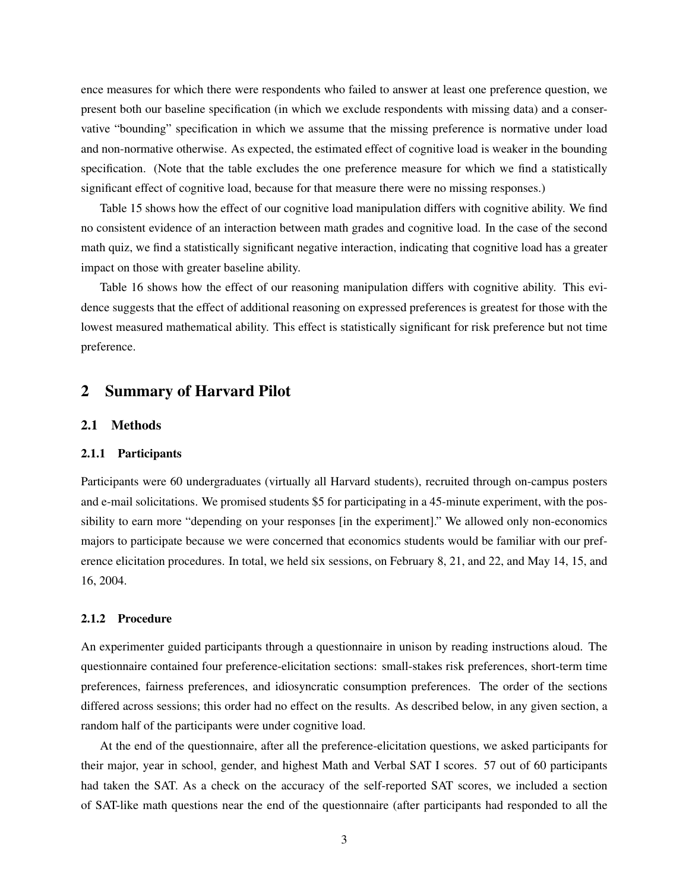ence measures for which there were respondents who failed to answer at least one preference question, we present both our baseline specification (in which we exclude respondents with missing data) and a conservative "bounding" specification in which we assume that the missing preference is normative under load and non-normative otherwise. As expected, the estimated effect of cognitive load is weaker in the bounding specification. (Note that the table excludes the one preference measure for which we find a statistically significant effect of cognitive load, because for that measure there were no missing responses.)

Table 15 shows how the effect of our cognitive load manipulation differs with cognitive ability. We find no consistent evidence of an interaction between math grades and cognitive load. In the case of the second math quiz, we find a statistically significant negative interaction, indicating that cognitive load has a greater impact on those with greater baseline ability.

Table 16 shows how the effect of our reasoning manipulation differs with cognitive ability. This evidence suggests that the effect of additional reasoning on expressed preferences is greatest for those with the lowest measured mathematical ability. This effect is statistically significant for risk preference but not time preference.

## 2 Summary of Harvard Pilot

#### 2.1 Methods

#### 2.1.1 Participants

Participants were 60 undergraduates (virtually all Harvard students), recruited through on-campus posters and e-mail solicitations. We promised students \$5 for participating in a 45-minute experiment, with the possibility to earn more "depending on your responses [in the experiment]." We allowed only non-economics majors to participate because we were concerned that economics students would be familiar with our preference elicitation procedures. In total, we held six sessions, on February 8, 21, and 22, and May 14, 15, and 16, 2004.

### 2.1.2 Procedure

An experimenter guided participants through a questionnaire in unison by reading instructions aloud. The questionnaire contained four preference-elicitation sections: small-stakes risk preferences, short-term time preferences, fairness preferences, and idiosyncratic consumption preferences. The order of the sections differed across sessions; this order had no effect on the results. As described below, in any given section, a random half of the participants were under cognitive load.

At the end of the questionnaire, after all the preference-elicitation questions, we asked participants for their major, year in school, gender, and highest Math and Verbal SAT I scores. 57 out of 60 participants had taken the SAT. As a check on the accuracy of the self-reported SAT scores, we included a section of SAT-like math questions near the end of the questionnaire (after participants had responded to all the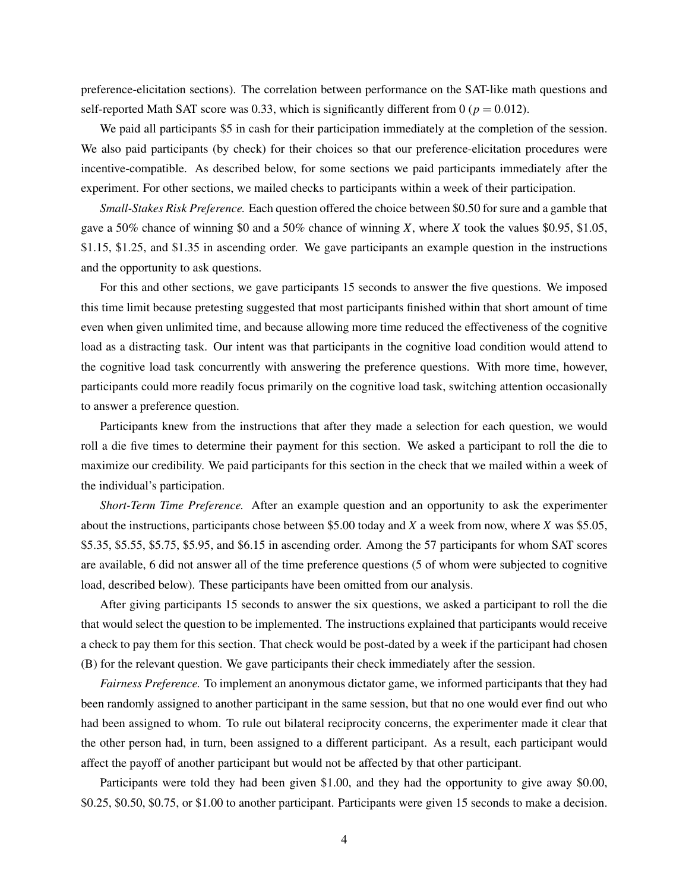preference-elicitation sections). The correlation between performance on the SAT-like math questions and self-reported Math SAT score was 0.33, which is significantly different from 0 ( $p = 0.012$ ).

We paid all participants \$5 in cash for their participation immediately at the completion of the session. We also paid participants (by check) for their choices so that our preference-elicitation procedures were incentive-compatible. As described below, for some sections we paid participants immediately after the experiment. For other sections, we mailed checks to participants within a week of their participation.

*Small-Stakes Risk Preference.* Each question offered the choice between \$0.50 for sure and a gamble that gave a 50% chance of winning \$0 and a 50% chance of winning *X*, where *X* took the values \$0.95, \$1.05, \$1.15, \$1.25, and \$1.35 in ascending order. We gave participants an example question in the instructions and the opportunity to ask questions.

For this and other sections, we gave participants 15 seconds to answer the five questions. We imposed this time limit because pretesting suggested that most participants finished within that short amount of time even when given unlimited time, and because allowing more time reduced the effectiveness of the cognitive load as a distracting task. Our intent was that participants in the cognitive load condition would attend to the cognitive load task concurrently with answering the preference questions. With more time, however, participants could more readily focus primarily on the cognitive load task, switching attention occasionally to answer a preference question.

Participants knew from the instructions that after they made a selection for each question, we would roll a die five times to determine their payment for this section. We asked a participant to roll the die to maximize our credibility. We paid participants for this section in the check that we mailed within a week of the individual's participation.

*Short-Term Time Preference.* After an example question and an opportunity to ask the experimenter about the instructions, participants chose between \$5.00 today and *X* a week from now, where *X* was \$5.05, \$5.35, \$5.55, \$5.75, \$5.95, and \$6.15 in ascending order. Among the 57 participants for whom SAT scores are available, 6 did not answer all of the time preference questions (5 of whom were subjected to cognitive load, described below). These participants have been omitted from our analysis.

After giving participants 15 seconds to answer the six questions, we asked a participant to roll the die that would select the question to be implemented. The instructions explained that participants would receive a check to pay them for this section. That check would be post-dated by a week if the participant had chosen (B) for the relevant question. We gave participants their check immediately after the session.

*Fairness Preference.* To implement an anonymous dictator game, we informed participants that they had been randomly assigned to another participant in the same session, but that no one would ever find out who had been assigned to whom. To rule out bilateral reciprocity concerns, the experimenter made it clear that the other person had, in turn, been assigned to a different participant. As a result, each participant would affect the payoff of another participant but would not be affected by that other participant.

Participants were told they had been given \$1.00, and they had the opportunity to give away \$0.00, \$0.25, \$0.50, \$0.75, or \$1.00 to another participant. Participants were given 15 seconds to make a decision.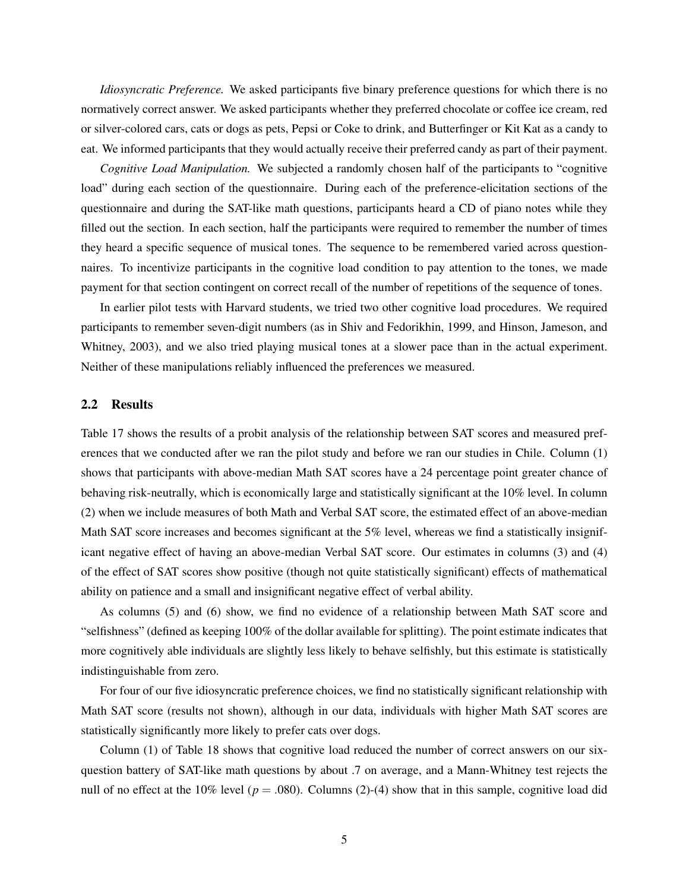*Idiosyncratic Preference.* We asked participants five binary preference questions for which there is no normatively correct answer. We asked participants whether they preferred chocolate or coffee ice cream, red or silver-colored cars, cats or dogs as pets, Pepsi or Coke to drink, and Butterfinger or Kit Kat as a candy to eat. We informed participants that they would actually receive their preferred candy as part of their payment.

*Cognitive Load Manipulation.* We subjected a randomly chosen half of the participants to "cognitive load" during each section of the questionnaire. During each of the preference-elicitation sections of the questionnaire and during the SAT-like math questions, participants heard a CD of piano notes while they filled out the section. In each section, half the participants were required to remember the number of times they heard a specific sequence of musical tones. The sequence to be remembered varied across questionnaires. To incentivize participants in the cognitive load condition to pay attention to the tones, we made payment for that section contingent on correct recall of the number of repetitions of the sequence of tones.

In earlier pilot tests with Harvard students, we tried two other cognitive load procedures. We required participants to remember seven-digit numbers (as in Shiv and Fedorikhin, 1999, and Hinson, Jameson, and Whitney, 2003), and we also tried playing musical tones at a slower pace than in the actual experiment. Neither of these manipulations reliably influenced the preferences we measured.

### 2.2 Results

Table 17 shows the results of a probit analysis of the relationship between SAT scores and measured preferences that we conducted after we ran the pilot study and before we ran our studies in Chile. Column (1) shows that participants with above-median Math SAT scores have a 24 percentage point greater chance of behaving risk-neutrally, which is economically large and statistically significant at the 10% level. In column (2) when we include measures of both Math and Verbal SAT score, the estimated effect of an above-median Math SAT score increases and becomes significant at the 5% level, whereas we find a statistically insignificant negative effect of having an above-median Verbal SAT score. Our estimates in columns (3) and (4) of the effect of SAT scores show positive (though not quite statistically significant) effects of mathematical ability on patience and a small and insignificant negative effect of verbal ability.

As columns (5) and (6) show, we find no evidence of a relationship between Math SAT score and "selfishness" (defined as keeping 100% of the dollar available for splitting). The point estimate indicates that more cognitively able individuals are slightly less likely to behave selfishly, but this estimate is statistically indistinguishable from zero.

For four of our five idiosyncratic preference choices, we find no statistically significant relationship with Math SAT score (results not shown), although in our data, individuals with higher Math SAT scores are statistically significantly more likely to prefer cats over dogs.

Column (1) of Table 18 shows that cognitive load reduced the number of correct answers on our sixquestion battery of SAT-like math questions by about .7 on average, and a Mann-Whitney test rejects the null of no effect at the 10% level ( $p = .080$ ). Columns (2)-(4) show that in this sample, cognitive load did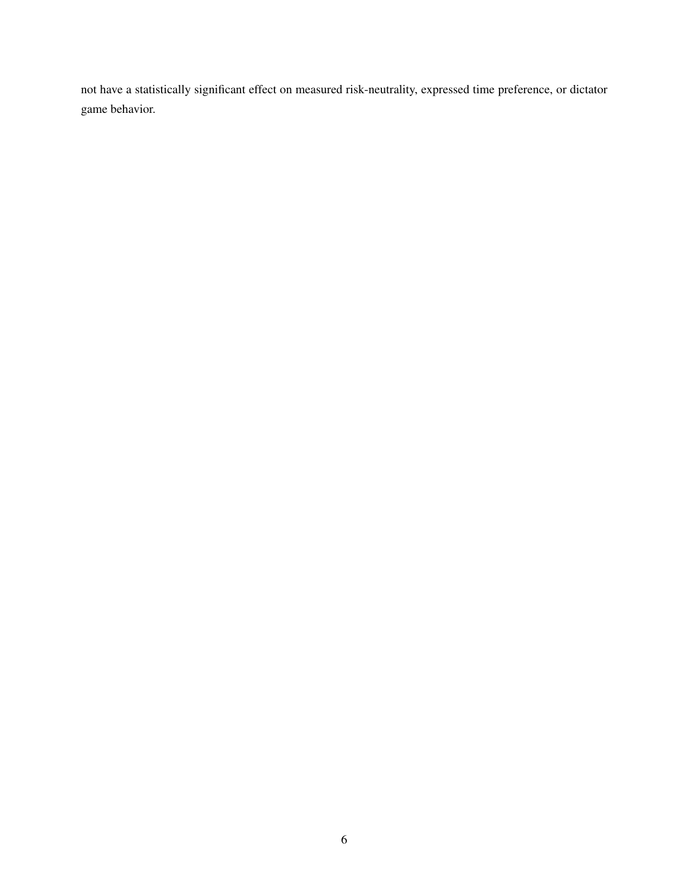not have a statistically significant effect on measured risk-neutrality, expressed time preference, or dictator game behavior.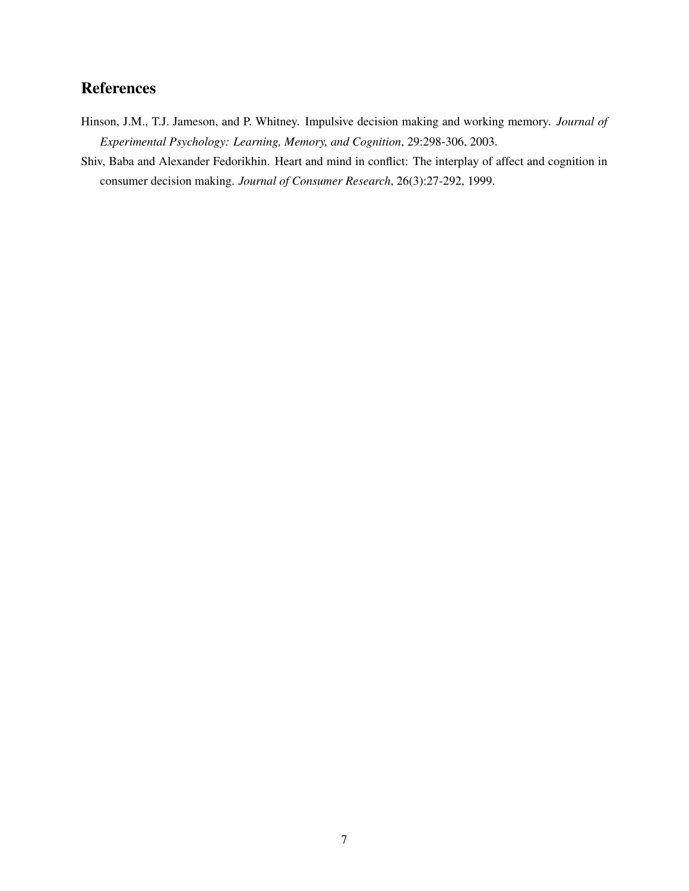# References

- Hinson, J.M., T.J. Jameson, and P. Whitney. Impulsive decision making and working memory. *Journal of Experimental Psychology: Learning, Memory, and Cognition*, 29:298-306, 2003.
- Shiv, Baba and Alexander Fedorikhin. Heart and mind in conflict: The interplay of affect and cognition in consumer decision making. *Journal of Consumer Research*, 26(3):27-292, 1999.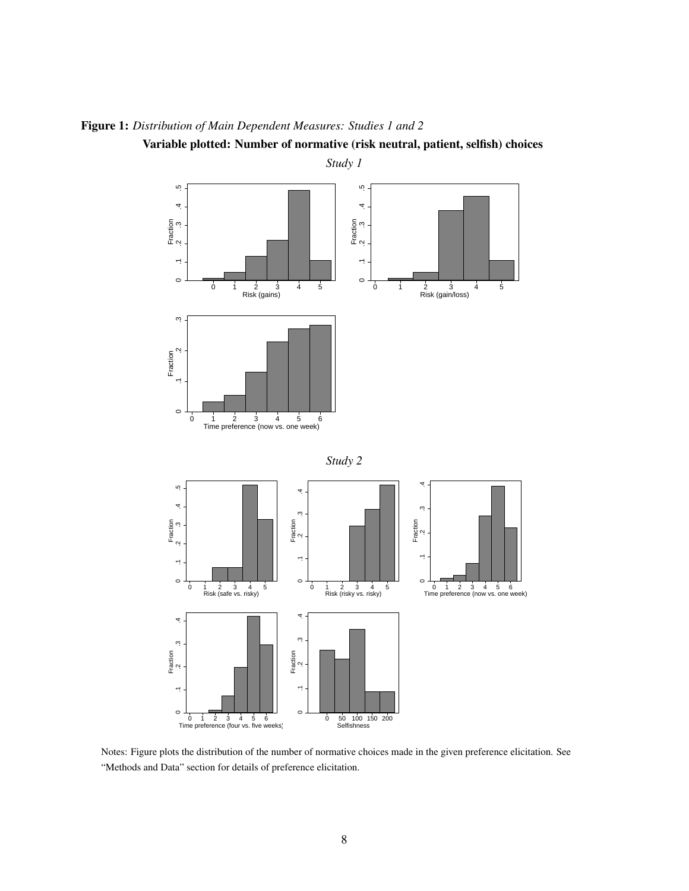

Figure 1: *Distribution of Main Dependent Measures: Studies 1 and 2*

Variable plotted: Number of normative (risk neutral, patient, selfish) choices

Notes: Figure plots the distribution of the number of normative choices made in the given preference elicitation. See "Methods and Data" section for details of preference elicitation.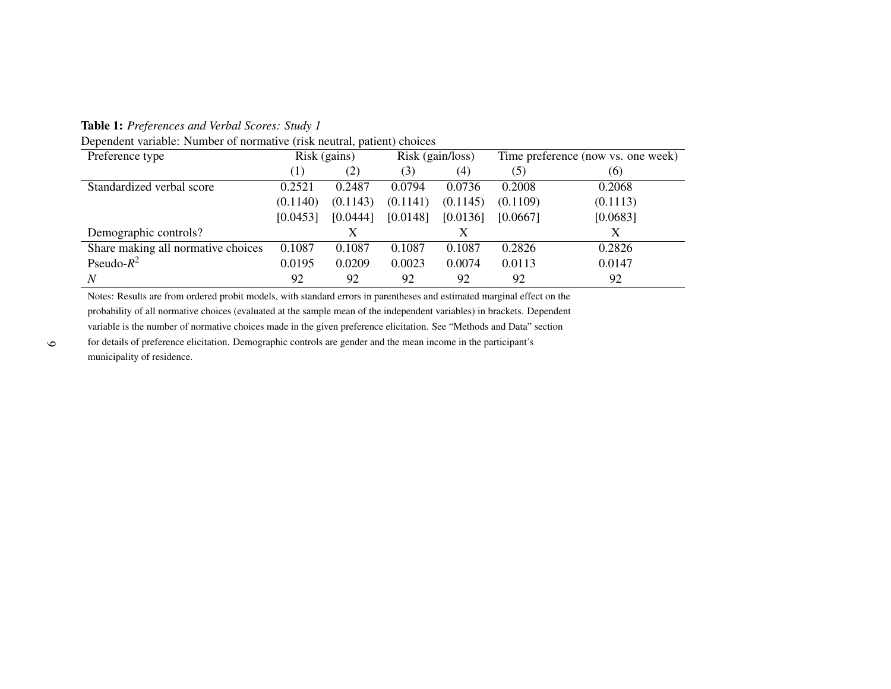Table 1: *Preferences and Verbal Scores: Study <sup>1</sup>*

Dependent variable: Number of normative (risk neutral, patient) choices

| Preference type                    |          | Risk (gains) |          | Risk (gain/loss) |          | Time preference (now vs. one week) |
|------------------------------------|----------|--------------|----------|------------------|----------|------------------------------------|
|                                    | (1)      | (2)          | (3)      | (4)              | (5)      | (6)                                |
| Standardized verbal score          | 0.2521   | 0.2487       | 0.0794   | 0.0736           | 0.2008   | 0.2068                             |
|                                    | (0.1140) | (0.1143)     | (0.1141) | (0.1145)         | (0.1109) | (0.1113)                           |
|                                    | [0.0453] | [0.0444]     | [0.0148] | [0.0136]         | [0.0667] | [0.0683]                           |
| Demographic controls?              |          |              |          |                  |          | X                                  |
| Share making all normative choices | 0.1087   | 0.1087       | 0.1087   | 0.1087           | 0.2826   | 0.2826                             |
| Pseudo- $R^2$                      | 0.0195   | 0.0209       | 0.0023   | 0.0074           | 0.0113   | 0.0147                             |
| $\overline{N}$                     | 92       | 92           | 92       | 92               | 92       | 92                                 |

Notes: Results are from ordered probit models, with standard errors in parentheses and estimated marginal effect on the probability of all normative choices (evaluated at the sample mean of the independent variables) in brackets. Dependentvariable is the number of normative choices made in the given preference elicitation. See "Methods and Data" sectionfor details of preference elicitation. Demographic controls are gender and the mean income in the participant'smunicipality of residence.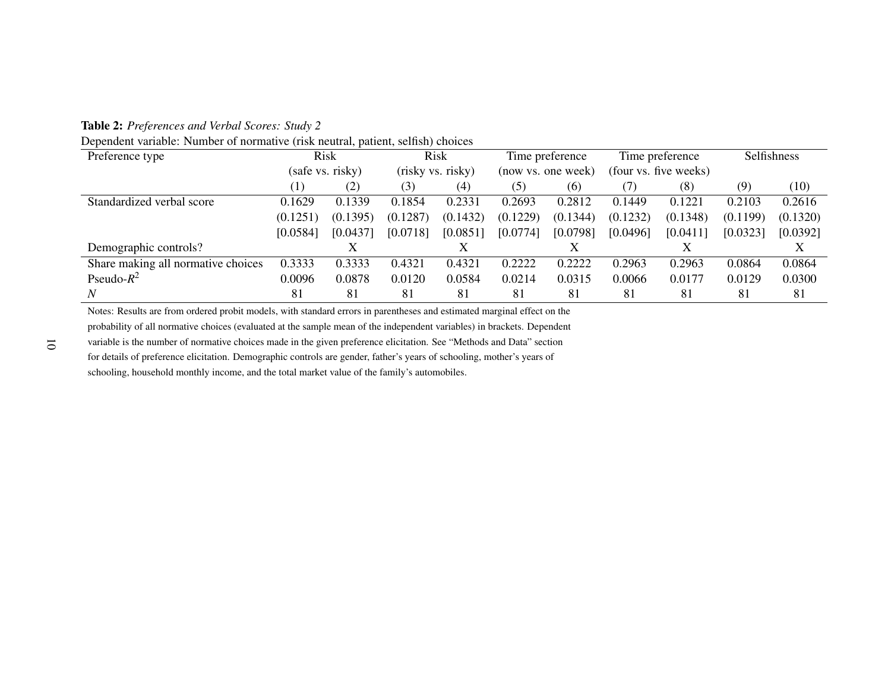Table 2: *Preferences and Verbal Scores: Study <sup>2</sup>*

Dependent variable: Number of normative (risk neutral, patient, selfish) choices

| Preference type                    |                  | Risk     |          | Risk              |          | Time preference    |          | Time preference       | Selfishness |          |
|------------------------------------|------------------|----------|----------|-------------------|----------|--------------------|----------|-----------------------|-------------|----------|
|                                    | (safe vs. risky) |          |          | (risky vs. risky) |          | (now vs. one week) |          | (four vs. five weeks) |             |          |
|                                    | (1)              | (2)      | (3)      | $\left( 4\right)$ | (5)      | (6)                | (7)      | (8)                   | (9)         | (10)     |
| Standardized verbal score          | 0.1629           | 0.1339   | 0.1854   | 0.2331            | 0.2693   | 0.2812             | 0.1449   | 0.1221                | 0.2103      | 0.2616   |
|                                    | (0.1251)         | (0.1395) | (0.1287) | (0.1432)          | (0.1229) | (0.1344)           | (0.1232) | (0.1348)              | (0.1199)    | (0.1320) |
|                                    | [0.0584]         | [0.0437] | [0.0718] | [0.0851]          | [0.0774] | [0.0798]           | [0.0496] | [0.0411]              | [0.0323]    | [0.0392] |
| Demographic controls?              |                  |          |          | Х                 |          |                    |          |                       |             |          |
| Share making all normative choices | 0.3333           | 0.3333   | 0.4321   | 0.4321            | 0.2222   | 0.2222             | 0.2963   | 0.2963                | 0.0864      | 0.0864   |
| Pseudo- $R^2$                      | 0.0096           | 0.0878   | 0.0120   | 0.0584            | 0.0214   | 0.0315             | 0.0066   | 0.0177                | 0.0129      | 0.0300   |
| N                                  | 81               | 81       | 81       | 81                | 81       | 81                 | 81       | 81                    | 81          | 81       |

Notes: Results are from ordered probit models, with standard errors in parentheses and estimated marginal effect on theprobability of all normative choices (evaluated at the sample mean of the independent variables) in brackets. Dependent

variable is the number of normative choices made in the given preference elicitation. See "Methods and Data" section

for details of preference elicitation. Demographic controls are gender, father's years of schooling, mother's years of

schooling, household monthly income, and the total market value of the family's automobiles.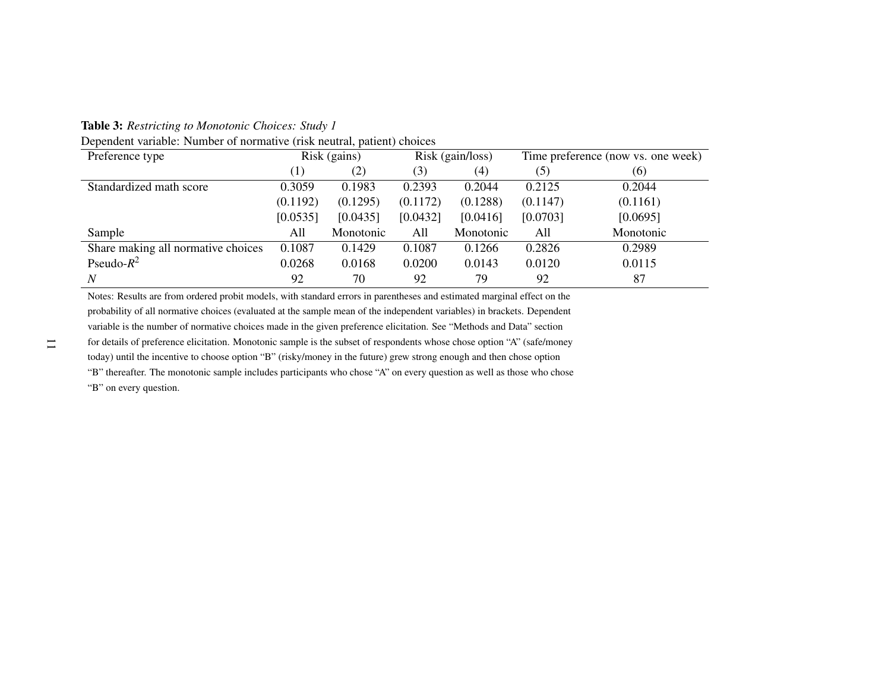Table 3: *Restricting to Monotonic Choices: Study <sup>1</sup>*

|  |  | Dependent variable: Number of normative (risk neutral, patient) choices |
|--|--|-------------------------------------------------------------------------|
|  |  |                                                                         |

| Preference type                    |          | Risk (gains) |          | Risk (gain/loss) |          | Time preference (now vs. one week) |
|------------------------------------|----------|--------------|----------|------------------|----------|------------------------------------|
|                                    | (1)      | (2)          | (3)      | (4)              | (5)      | (6)                                |
| Standardized math score            | 0.3059   | 0.1983       | 0.2393   | 0.2044           | 0.2125   | 0.2044                             |
|                                    | (0.1192) | (0.1295)     | (0.1172) | (0.1288)         | (0.1147) | (0.1161)                           |
|                                    | [0.0535] | [0.0435]     | [0.0432] | [0.0416]         | [0.0703] | [0.0695]                           |
| Sample                             | All      | Monotonic    | All      | Monotonic        | All      | Monotonic                          |
| Share making all normative choices | 0.1087   | 0.1429       | 0.1087   | 0.1266           | 0.2826   | 0.2989                             |
| Pseudo- $R^2$                      | 0.0268   | 0.0168       | 0.0200   | 0.0143           | 0.0120   | 0.0115                             |
| $\boldsymbol{N}$                   | 92       | 70           | 92       | 79               | 92       | 87                                 |

Notes: Results are from ordered probit models, with standard errors in parentheses and estimated marginal effect on the probability of all normative choices (evaluated at the sample mean of the independent variables) in brackets. Dependentvariable is the number of normative choices made in the given preference elicitation. See "Methods and Data" section for details of preference elicitation. Monotonic sample is the subset of respondents whose chose option "A" (safe/moneytoday) until the incentive to choose option "B" (risky/money in the future) grew strong enough and then chose option "B" thereafter. The monotonic sample includes participants who chose "A" on every question as well as those who chose"B" on every question.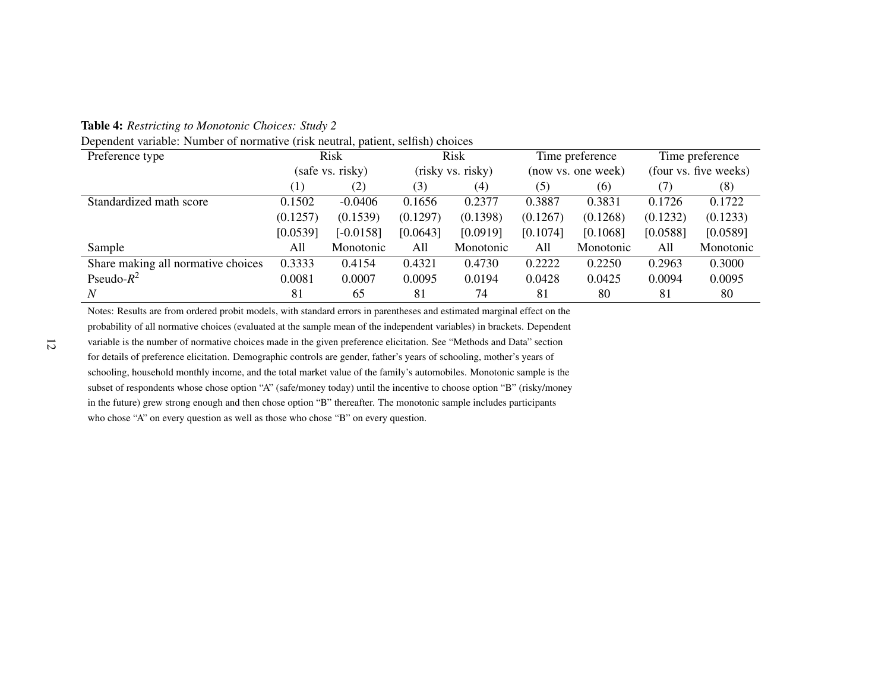Table 4: *Restricting to Monotonic Choices: Study <sup>2</sup>*

| Dependent variable: Number of normative (risk neutral, patient, selfish) choices |  |  |  |
|----------------------------------------------------------------------------------|--|--|--|
|----------------------------------------------------------------------------------|--|--|--|

| Preference type                    |                  | Risk        |          | Risk              |          | Time preference    |                       | Time preference |
|------------------------------------|------------------|-------------|----------|-------------------|----------|--------------------|-----------------------|-----------------|
|                                    | (safe vs. risky) |             |          | (risky vs. risky) |          | (now vs. one week) | (four vs. five weeks) |                 |
|                                    | (1)              | (2)         | (3)      | $\left( 4\right)$ | (5)      | (6)                | (7)                   | (8)             |
| Standardized math score            | 0.1502           | $-0.0406$   | 0.1656   | 0.2377            | 0.3887   | 0.3831             | 0.1726                | 0.1722          |
|                                    | (0.1257)         | (0.1539)    | (0.1297) | (0.1398)          | (0.1267) | (0.1268)           | (0.1232)              | (0.1233)        |
|                                    | [0.0539]         | $[-0.0158]$ | [0.0643] | [0.0919]          | [0.1074] | [0.1068]           | [0.0588]              | [0.0589]        |
| Sample                             | All              | Monotonic   | All      | Monotonic         | All      | Monotonic          | All                   | Monotonic       |
| Share making all normative choices | 0.3333           | 0.4154      | 0.4321   | 0.4730            | 0.2222   | 0.2250             | 0.2963                | 0.3000          |
| Pseudo- $R^2$                      | 0.0081           | 0.0007      | 0.0095   | 0.0194            | 0.0428   | 0.0425             | 0.0094                | 0.0095          |
| N                                  | 81               | 65          | 81       | 74                | 81       | 80                 | 81                    | 80              |

Notes: Results are from ordered probit models, with standard errors in parentheses and estimated marginal effect on the probability of all normative choices (evaluated at the sample mean of the independent variables) in brackets. Dependentvariable is the number of normative choices made in the given preference elicitation. See "Methods and Data" sectionfor details of preference elicitation. Demographic controls are gender, father's years of schooling, mother's years ofschooling, household monthly income, and the total market value of the family's automobiles. Monotonic sample is thesubset of respondents whose chose option "A" (safe/money today) until the incentive to choose option "B" (risky/money in the future) grew strong enough and then chose option "B" thereafter. The monotonic sample includes participantswho chose "A" on every question as well as those who chose "B" on every question.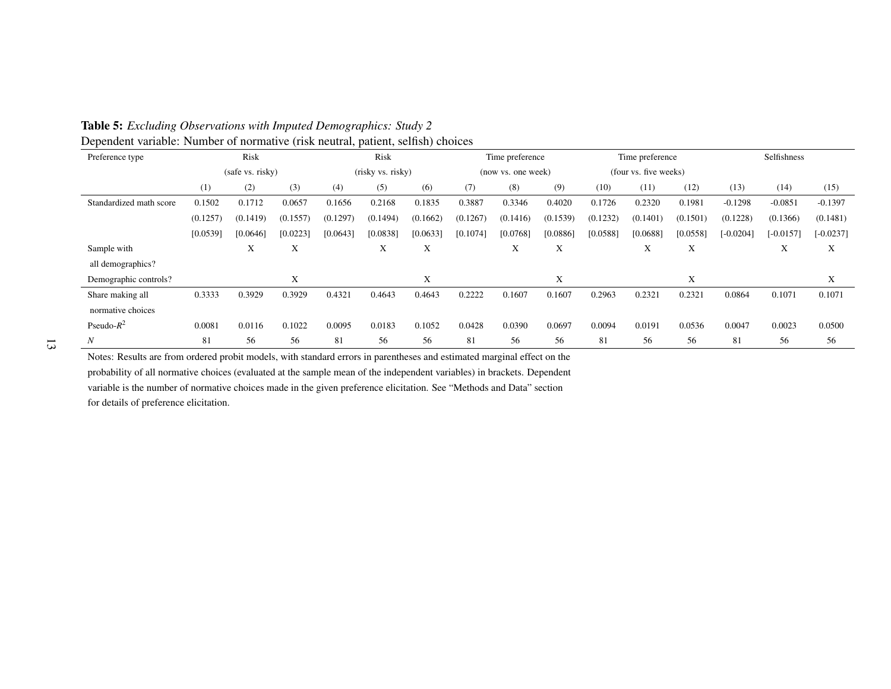| Preference type         |          | Risk             |          |          | Risk              |          |          | Time preference    |          |          | Time preference       |          |             | Selfishness |             |
|-------------------------|----------|------------------|----------|----------|-------------------|----------|----------|--------------------|----------|----------|-----------------------|----------|-------------|-------------|-------------|
|                         |          | (safe vs. risky) |          |          | (risky vs. risky) |          |          | (now vs. one week) |          |          | (four vs. five weeks) |          |             |             |             |
|                         | (1)      | (2)              | (3)      | (4)      | (5)               | (6)      | (7)      | (8)                | (9)      | (10)     | (11)                  | (12)     | (13)        | (14)        | (15)        |
| Standardized math score | 0.1502   | 0.1712           | 0.0657   | 0.1656   | 0.2168            | 0.1835   | 0.3887   | 0.3346             | 0.4020   | 0.1726   | 0.2320                | 0.1981   | $-0.1298$   | $-0.0851$   | $-0.1397$   |
|                         | (0.1257) | (0.1419)         | (0.1557) | (0.1297) | (0.1494)          | (0.1662) | (0.1267) | (0.1416)           | (0.1539) | (0.1232) | (0.1401)              | (0.1501) | (0.1228)    | (0.1366)    | (0.1481)    |
|                         | [0.0539] | [0.0646]         | [0.0223] | [0.0643] | [0.0838]          | [0.0633] | [0.1074] | [0.0768]           | [0.0886] | [0.0588] | [0.0688]              | [0.0558] | $[-0.0204]$ | $[-0.0157]$ | $[-0.0237]$ |
| Sample with             |          | X                | X        |          | X                 | X        |          | X                  | X        |          | X                     | X        |             | X           | X           |
| all demographics?       |          |                  |          |          |                   |          |          |                    |          |          |                       |          |             |             |             |
| Demographic controls?   |          |                  | X        |          |                   | X        |          |                    | X        |          |                       | X        |             |             | X           |
| Share making all        | 0.3333   | 0.3929           | 0.3929   | 0.4321   | 0.4643            | 0.4643   | 0.2222   | 0.1607             | 0.1607   | 0.2963   | 0.2321                | 0.2321   | 0.0864      | 0.1071      | 0.1071      |
| normative choices       |          |                  |          |          |                   |          |          |                    |          |          |                       |          |             |             |             |
| Pseudo- $R^2$           | 0.0081   | 0.0116           | 0.1022   | 0.0095   | 0.0183            | 0.1052   | 0.0428   | 0.0390             | 0.0697   | 0.0094   | 0.0191                | 0.0536   | 0.0047      | 0.0023      | 0.0500      |
| N                       | 81       | 56               | 56       | 81       | 56                | 56       | 81       | 56                 | 56       | 81       | 56                    | 56       | 81          | 56          | 56          |

Table 5: *Excluding Observations with Imputed Demographics: Study <sup>2</sup>*Dependent variable: Number of normative (risk neutral, patient, selfish) choices

Notes: Results are from ordered probit models, with standard errors in parentheses and estimated marginal effect on the probability of all normative choices (evaluated at the sample mean of the independent variables) in brackets. Dependentvariable is the number of normative choices made in the given preference elicitation. See "Methods and Data" sectionfor details of preference elicitation.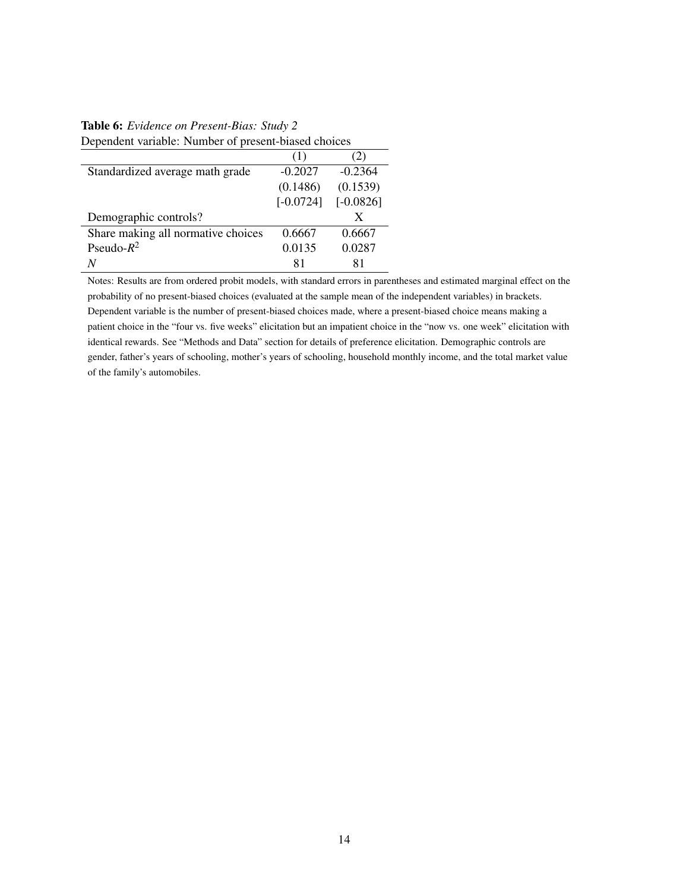## Table 6: *Evidence on Present-Bias: Study 2* Dependent variable: Number of present-biased choices

|                                    | (1)         |             |
|------------------------------------|-------------|-------------|
| Standardized average math grade    | $-0.2027$   | $-0.2364$   |
|                                    | (0.1486)    | (0.1539)    |
|                                    | $[-0.0724]$ | $[-0.0826]$ |
|                                    |             |             |
| Demographic controls?              |             |             |
| Share making all normative choices | 0.6667      | 0.6667      |
| Pseudo- $R^2$                      | 0.0135      | 0.0287      |

Notes: Results are from ordered probit models, with standard errors in parentheses and estimated marginal effect on the probability of no present-biased choices (evaluated at the sample mean of the independent variables) in brackets. Dependent variable is the number of present-biased choices made, where a present-biased choice means making a patient choice in the "four vs. five weeks" elicitation but an impatient choice in the "now vs. one week" elicitation with identical rewards. See "Methods and Data" section for details of preference elicitation. Demographic controls are gender, father's years of schooling, mother's years of schooling, household monthly income, and the total market value of the family's automobiles.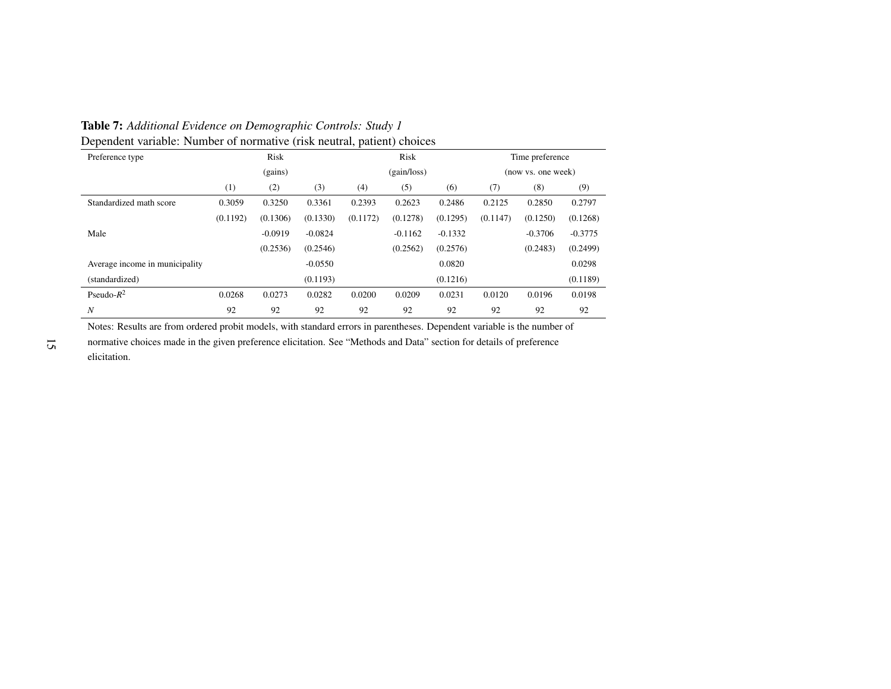Table 7: *Additional Evidence on Demographic Controls: Study <sup>1</sup>*Dependent variable: Number of normative (risk neutral, patient) choices

| Preference type                |          | Risk      |           |          | Risk        |                    |          | Time preference |           |
|--------------------------------|----------|-----------|-----------|----------|-------------|--------------------|----------|-----------------|-----------|
|                                |          | (gains)   |           |          | (gain/loss) | (now vs. one week) |          |                 |           |
|                                | (1)      | (2)       | (3)       | (4)      | (5)         | (6)                | (7)      | (8)             | (9)       |
| Standardized math score        | 0.3059   | 0.3250    | 0.3361    | 0.2393   | 0.2623      | 0.2486             | 0.2125   | 0.2850          | 0.2797    |
|                                | (0.1192) | (0.1306)  | (0.1330)  | (0.1172) | (0.1278)    | (0.1295)           | (0.1147) | (0.1250)        | (0.1268)  |
| Male                           |          | $-0.0919$ | $-0.0824$ |          | $-0.1162$   | $-0.1332$          |          | $-0.3706$       | $-0.3775$ |
|                                |          | (0.2536)  | (0.2546)  |          | (0.2562)    | (0.2576)           |          | (0.2483)        | (0.2499)  |
| Average income in municipality |          |           | $-0.0550$ |          |             | 0.0820             |          |                 | 0.0298    |
| (standardized)                 |          |           | (0.1193)  |          |             | (0.1216)           |          |                 | (0.1189)  |
| Pseudo- $R^2$                  | 0.0268   | 0.0273    | 0.0282    | 0.0200   | 0.0209      | 0.0231             | 0.0120   | 0.0196          | 0.0198    |
| N                              | 92       | 92        | 92        | 92       | 92          | 92                 | 92       | 92              | 92        |

Notes: Results are from ordered probit models, with standard errors in parentheses. Dependent variable is the number ofnormative choices made in the given preference elicitation. See "Methods and Data" section for details of preferenceelicitation.

15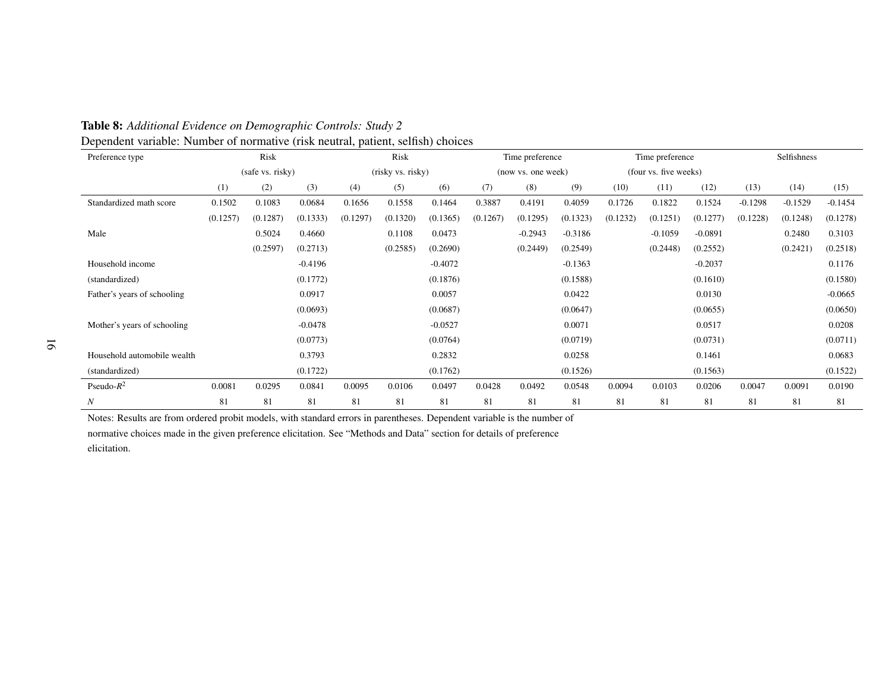| Preference type             |          | Risk             |           |          | Risk              |           |          | Time preference    |           |          | Time preference       |           |           | Selfishness |           |
|-----------------------------|----------|------------------|-----------|----------|-------------------|-----------|----------|--------------------|-----------|----------|-----------------------|-----------|-----------|-------------|-----------|
|                             |          | (safe vs. risky) |           |          | (risky vs. risky) |           |          | (now vs. one week) |           |          | (four vs. five weeks) |           |           |             |           |
|                             | (1)      | (2)              | (3)       | (4)      | (5)               | (6)       | (7)      | (8)                | (9)       | (10)     | (11)                  | (12)      | (13)      | (14)        | (15)      |
| Standardized math score     | 0.1502   | 0.1083           | 0.0684    | 0.1656   | 0.1558            | 0.1464    | 0.3887   | 0.4191             | 0.4059    | 0.1726   | 0.1822                | 0.1524    | $-0.1298$ | $-0.1529$   | $-0.1454$ |
|                             | (0.1257) | (0.1287)         | (0.1333)  | (0.1297) | (0.1320)          | (0.1365)  | (0.1267) | (0.1295)           | (0.1323)  | (0.1232) | (0.1251)              | (0.1277)  | (0.1228)  | (0.1248)    | (0.1278)  |
| Male                        |          | 0.5024           | 0.4660    |          | 0.1108            | 0.0473    |          | $-0.2943$          | $-0.3186$ |          | $-0.1059$             | $-0.0891$ |           | 0.2480      | 0.3103    |
|                             |          | (0.2597)         | (0.2713)  |          | (0.2585)          | (0.2690)  |          | (0.2449)           | (0.2549)  |          | (0.2448)              | (0.2552)  |           | (0.2421)    | (0.2518)  |
| Household income            |          |                  | $-0.4196$ |          |                   | $-0.4072$ |          |                    | $-0.1363$ |          |                       | $-0.2037$ |           |             | 0.1176    |
| (standardized)              |          |                  | (0.1772)  |          |                   | (0.1876)  |          |                    | (0.1588)  |          |                       | (0.1610)  |           |             | (0.1580)  |
| Father's years of schooling |          |                  | 0.0917    |          |                   | 0.0057    |          |                    | 0.0422    |          |                       | 0.0130    |           |             | $-0.0665$ |
|                             |          |                  | (0.0693)  |          |                   | (0.0687)  |          |                    | (0.0647)  |          |                       | (0.0655)  |           |             | (0.0650)  |
| Mother's years of schooling |          |                  | $-0.0478$ |          |                   | $-0.0527$ |          |                    | 0.0071    |          |                       | 0.0517    |           |             | 0.0208    |
|                             |          |                  | (0.0773)  |          |                   | (0.0764)  |          |                    | (0.0719)  |          |                       | (0.0731)  |           |             | (0.0711)  |
| Household automobile wealth |          |                  | 0.3793    |          |                   | 0.2832    |          |                    | 0.0258    |          |                       | 0.1461    |           |             | 0.0683    |
| (standardized)              |          |                  | (0.1722)  |          |                   | (0.1762)  |          |                    | (0.1526)  |          |                       | (0.1563)  |           |             | (0.1522)  |
| Pseudo- $R^2$               | 0.0081   | 0.0295           | 0.0841    | 0.0095   | 0.0106            | 0.0497    | 0.0428   | 0.0492             | 0.0548    | 0.0094   | 0.0103                | 0.0206    | 0.0047    | 0.0091      | 0.0190    |
| N                           | 81       | 81               | 81        | 81       | 81                | 81        | 81       | 81                 | 81        | 81       | 81                    | 81        | 81        | 81          | 81        |

### Table 8: *Additional Evidence on Demographic Controls: Study <sup>2</sup>*Dependent variable: Number of normative (risk neutral, patient, selfish) choices

Notes: Results are from ordered probit models, with standard errors in parentheses. Dependent variable is the number of

normative choices made in the given preference elicitation. See "Methods and Data" section for details of preferenceelicitation.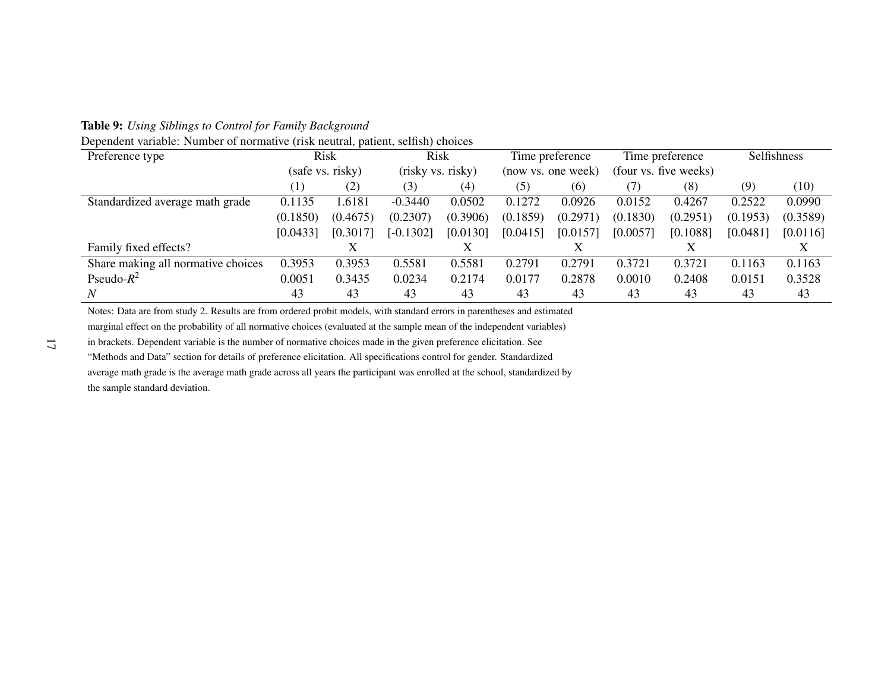Table 9: *Using Siblings to Control for Family Background*

| Dependent variable: Number of normative (risk neutral, patient, selfish) choices |  |  |  |
|----------------------------------------------------------------------------------|--|--|--|
|----------------------------------------------------------------------------------|--|--|--|

| Preference type                    |                  | <b>Risk</b> | Risk        |                   |          | Time preference    |          | Time preference       |          | Selfishness |
|------------------------------------|------------------|-------------|-------------|-------------------|----------|--------------------|----------|-----------------------|----------|-------------|
|                                    | (safe vs. risky) |             |             | (risky vs. risky) |          | (now vs. one week) |          | (four vs. five weeks) |          |             |
|                                    | (1)              | (2)         | (3)         | (4)               | (5)      | (6)                | 7)       | (8)                   | (9)      | (10)        |
| Standardized average math grade    | 0.1135           | 1.6181      | $-0.3440$   | 0.0502            | 0.1272   | 0.0926             | 0.0152   | 0.4267                | 0.2522   | 0.0990      |
|                                    | (0.1850)         | (0.4675)    | (0.2307)    | (0.3906)          | (0.1859) | (0.2971)           | (0.1830) | (0.2951)              | (0.1953) | (0.3589)    |
|                                    | [0.0433]         | [0.3017]    | $[-0.1302]$ | [0.0130]          | [0.0415] | [0.0157]           | [0.0057] | [0.1088]              | [0.0481] | [0.0116]    |
| Family fixed effects?              |                  |             |             |                   |          |                    |          |                       |          |             |
| Share making all normative choices | 0.3953           | 0.3953      | 0.5581      | 0.5581            | 0.2791   | 0.2791             | 0.3721   | 0.3721                | 0.1163   | 0.1163      |
| Pseudo- $R^2$                      | 0.0051           | 0.3435      | 0.0234      | 0.2174            | 0.0177   | 0.2878             | 0.0010   | 0.2408                | 0.0151   | 0.3528      |
| N                                  | 43               | 43          | 43          | 43                | 43       | 43                 | 43       | 43                    | 43       | 43          |

Notes: Data are from study 2. Results are from ordered probit models, with standard errors in parentheses and estimated

marginal effect on the probability of all normative choices (evaluated at the sample mean of the independent variables)

in brackets. Dependent variable is the number of normative choices made in the given preference elicitation. See

"Methods and Data" section for details of preference elicitation. All specifications control for gender. Standardized

 average math grade is the average math grade across all years the participant was enrolled at the school, standardized bythe sample standard deviation.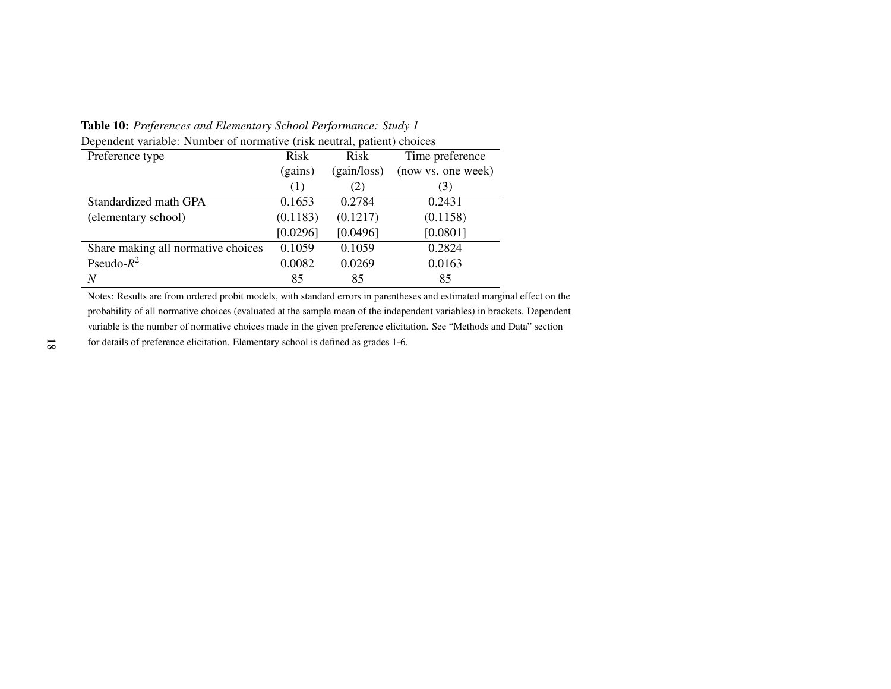Table 10: *Preferences and Elementary School Performance: Study <sup>1</sup>*

| Dependent variable: Number of normative (risk neutral, patient) choices |             |                    |  |  |  |  |
|-------------------------------------------------------------------------|-------------|--------------------|--|--|--|--|
| Risk                                                                    | Risk        | Time preference    |  |  |  |  |
| (gains)                                                                 | (gain/loss) | (now vs. one week) |  |  |  |  |
| (1)                                                                     | (2)         | (3)                |  |  |  |  |
| 0.1653                                                                  | 0.2784      | 0.2431             |  |  |  |  |
| (0.1183)                                                                | (0.1217)    | (0.1158)           |  |  |  |  |
| [0.0296]                                                                | [0.0496]    | [0.0801]           |  |  |  |  |
| 0.1059                                                                  | 0.1059      | 0.2824             |  |  |  |  |
| 0.0082                                                                  | 0.0269      | 0.0163             |  |  |  |  |
| 85                                                                      | 85          | 85                 |  |  |  |  |
|                                                                         |             |                    |  |  |  |  |

Notes: Results are from ordered probit models, with standard errors in parentheses and estimated marginal effect on the probability of all normative choices (evaluated at the sample mean of the independent variables) in brackets. Dependentvariable is the number of normative choices made in the given preference elicitation. See "Methods and Data" sectionfor details of preference elicitation. Elementary school is defined as grades 1-6.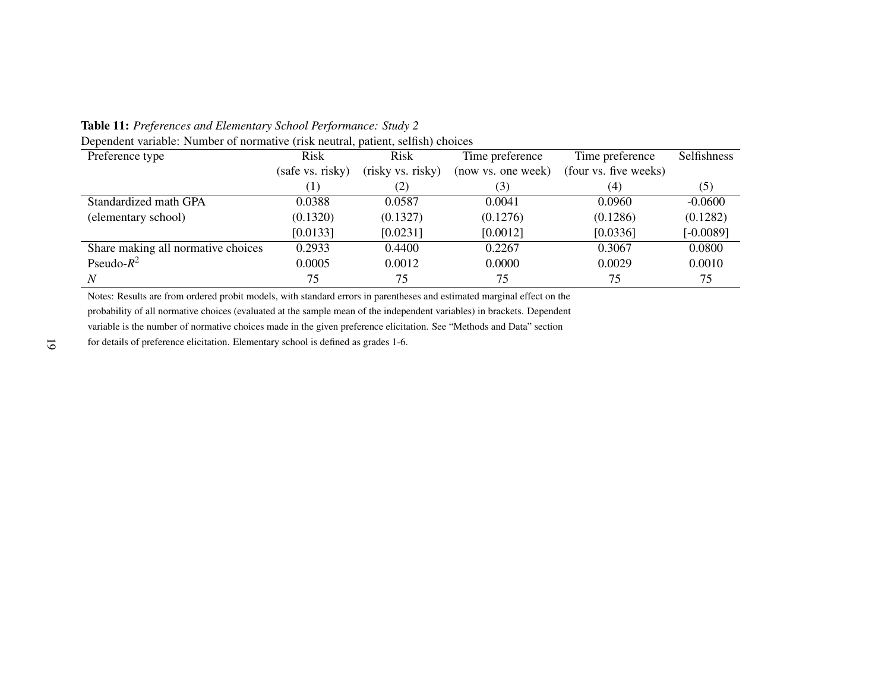Table 11: *Preferences and Elementary School Performance: Study <sup>2</sup>*

| Preference type                    | Risk             | Risk              | Time preference    | Time preference       | <b>Selfishness</b> |
|------------------------------------|------------------|-------------------|--------------------|-----------------------|--------------------|
|                                    | (safe vs. risky) | (risky vs. risky) | (now vs. one week) | (four vs. five weeks) |                    |
|                                    | $\left(1\right)$ | $\left( 2\right)$ | (3)                | (4)                   | (5)                |
| Standardized math GPA              | 0.0388           | 0.0587            | 0.0041             | 0.0960                | $-0.0600$          |
| (elementary school)                | (0.1320)         | (0.1327)          | (0.1276)           | (0.1286)              | (0.1282)           |
|                                    | [0.0133]         | [0.0231]          | [0.0012]           | [0.0336]              | $[-0.0089]$        |
| Share making all normative choices | 0.2933           | 0.4400            | 0.2267             | 0.3067                | 0.0800             |
| Pseudo- $R^2$                      | 0.0005           | 0.0012            | 0.0000             | 0.0029                | 0.0010             |
| N                                  | 75               | 75                | 75                 | 75                    | 75                 |

Dependent variable: Number of normative (risk neutral, patient, selfish) choices

Notes: Results are from ordered probit models, with standard errors in parentheses and estimated marginal effect on the probability of all normative choices (evaluated at the sample mean of the independent variables) in brackets. Dependentvariable is the number of normative choices made in the given preference elicitation. See "Methods and Data" section

for details of preference elicitation. Elementary school is defined as grades 1-6.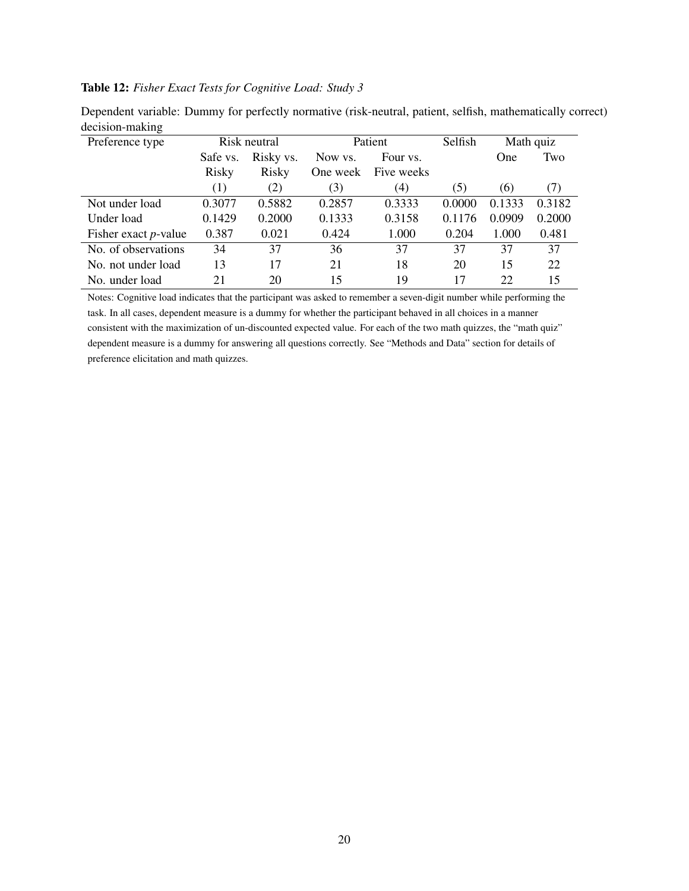## Table 12: *Fisher Exact Tests for Cognitive Load: Study 3*

| Preference type              |          | Patient<br>Risk neutral |          | Selfish    |        | Math quiz |        |
|------------------------------|----------|-------------------------|----------|------------|--------|-----------|--------|
|                              | Safe vs. | Risky vs.               | Now ys.  | Four vs.   |        | One       | Two    |
|                              | Risky    | Risky                   | One week | Five weeks |        |           |        |
|                              | (1)      | (2)                     | (3)      | (4)        | (5)    | (6)       | (7)    |
| Not under load               | 0.3077   | 0.5882                  | 0.2857   | 0.3333     | 0.0000 | 0.1333    | 0.3182 |
| Under load                   | 0.1429   | 0.2000                  | 0.1333   | 0.3158     | 0.1176 | 0.0909    | 0.2000 |
| Fisher exact <i>p</i> -value | 0.387    | 0.021                   | 0.424    | 1.000      | 0.204  | 1.000     | 0.481  |
| No. of observations          | 34       | 37                      | 36       | 37         | 37     | 37        | 37     |
| No. not under load           | 13       | 17                      | 21       | 18         | 20     | 15        | 22     |
| No. under load               | 21       | 20                      | 15       | 19         | 17     | 22        | 15     |

Dependent variable: Dummy for perfectly normative (risk-neutral, patient, selfish, mathematically correct) decision-making

Notes: Cognitive load indicates that the participant was asked to remember a seven-digit number while performing the task. In all cases, dependent measure is a dummy for whether the participant behaved in all choices in a manner consistent with the maximization of un-discounted expected value. For each of the two math quizzes, the "math quiz" dependent measure is a dummy for answering all questions correctly. See "Methods and Data" section for details of preference elicitation and math quizzes.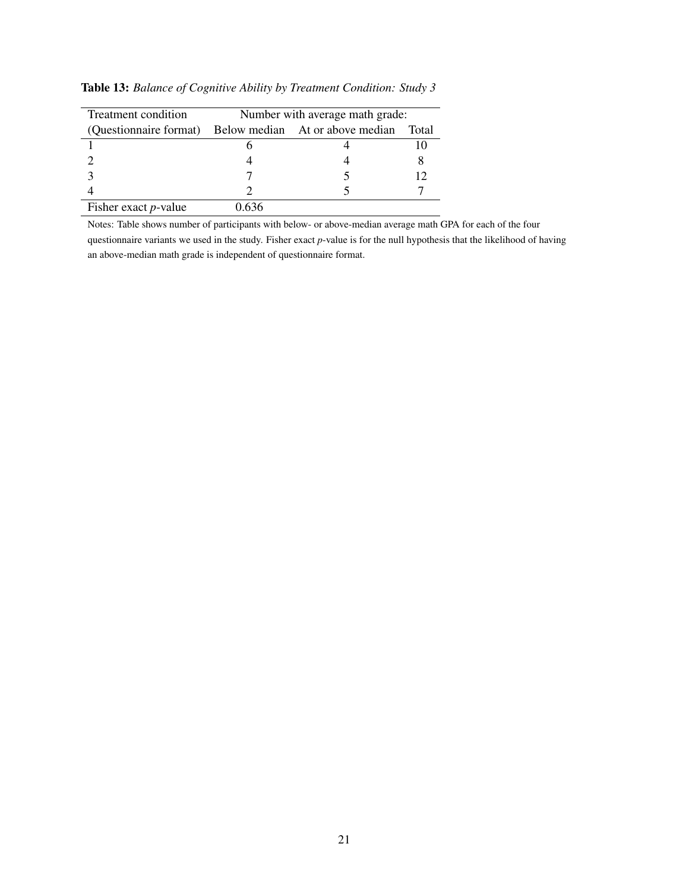| Treatment condition          | Number with average math grade:                                 |  |  |  |  |
|------------------------------|-----------------------------------------------------------------|--|--|--|--|
|                              | (Questionnaire format) Below median At or above median<br>Total |  |  |  |  |
|                              |                                                                 |  |  |  |  |
|                              |                                                                 |  |  |  |  |
|                              |                                                                 |  |  |  |  |
|                              |                                                                 |  |  |  |  |
| Fisher exact <i>p</i> -value | -636                                                            |  |  |  |  |

Table 13: *Balance of Cognitive Ability by Treatment Condition: Study 3*

Notes: Table shows number of participants with below- or above-median average math GPA for each of the four

questionnaire variants we used in the study. Fisher exact *p*-value is for the null hypothesis that the likelihood of having an above-median math grade is independent of questionnaire format.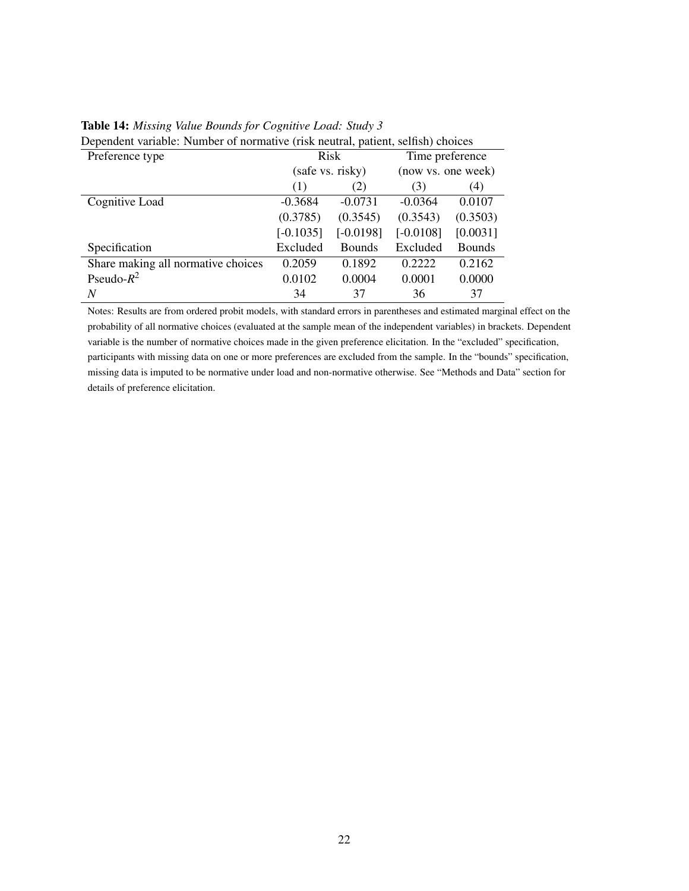| Dependent variable. Tulliber of hormative (fisk heatial, patient, schisti) choices |                  |               |                    |               |  |  |
|------------------------------------------------------------------------------------|------------------|---------------|--------------------|---------------|--|--|
| Preference type                                                                    | Risk             |               | Time preference    |               |  |  |
|                                                                                    | (safe vs. risky) |               | (now vs. one week) |               |  |  |
|                                                                                    | (1)              | (2)           | (3)                | (4)           |  |  |
| Cognitive Load                                                                     | $-0.3684$        | $-0.0731$     | $-0.0364$          | 0.0107        |  |  |
|                                                                                    | (0.3785)         | (0.3545)      | (0.3543)           | (0.3503)      |  |  |
|                                                                                    | $[-0.1035]$      | $[-0.0198]$   | $[-0.0108]$        | [0.0031]      |  |  |
| Specification                                                                      | Excluded         | <b>Bounds</b> | Excluded           | <b>Bounds</b> |  |  |
| Share making all normative choices                                                 | 0.2059           | 0.1892        | 0.2222             | 0.2162        |  |  |
| Pseudo- $R^2$                                                                      | 0.0102           | 0.0004        | 0.0001             | 0.0000        |  |  |
| N                                                                                  | 34               | 37            | 36                 | 37            |  |  |

### Table 14: *Missing Value Bounds for Cognitive Load: Study 3*

Dependent variable: Number of normative (risk neutral, patient, selfish) choices

Notes: Results are from ordered probit models, with standard errors in parentheses and estimated marginal effect on the probability of all normative choices (evaluated at the sample mean of the independent variables) in brackets. Dependent variable is the number of normative choices made in the given preference elicitation. In the "excluded" specification, participants with missing data on one or more preferences are excluded from the sample. In the "bounds" specification, missing data is imputed to be normative under load and non-normative otherwise. See "Methods and Data" section for details of preference elicitation.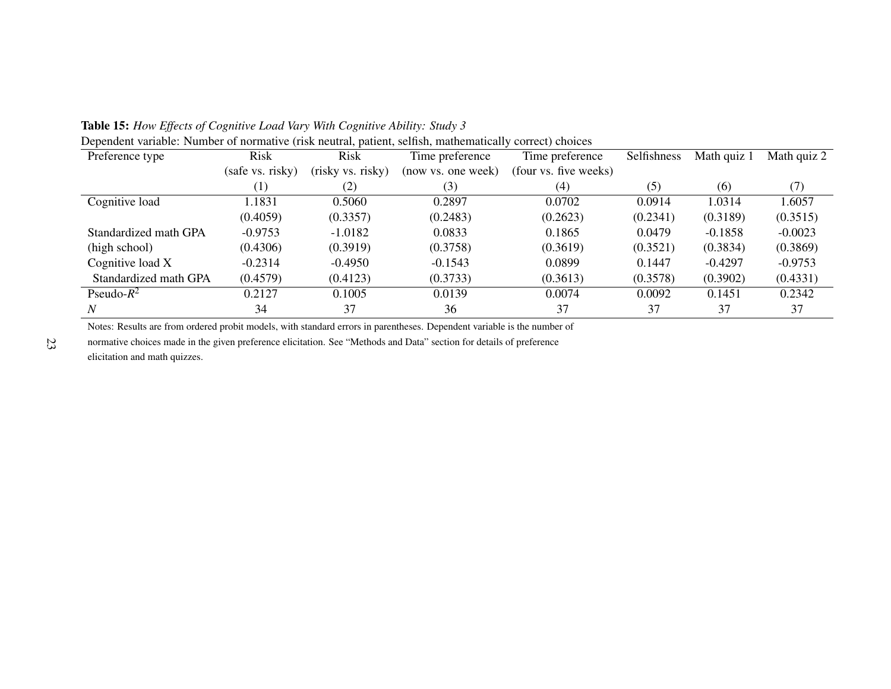| Preference type       | <b>Risk</b>      | <b>Risk</b>       | Time preference    | Time preference       | Selfishness | Math quiz 1 | Math quiz 2 |
|-----------------------|------------------|-------------------|--------------------|-----------------------|-------------|-------------|-------------|
|                       | (safe vs. risky) | (risky vs. risky) | (now vs. one week) | (four vs. five weeks) |             |             |             |
|                       | $\left(1\right)$ | (2)               | (3)                | (4)                   | (5)         | (6)         | (7)         |
| Cognitive load        | 1.1831           | 0.5060            | 0.2897             | 0.0702                | 0.0914      | 1.0314      | 1.6057      |
|                       | (0.4059)         | (0.3357)          | (0.2483)           | (0.2623)              | (0.2341)    | (0.3189)    | (0.3515)    |
| Standardized math GPA | $-0.9753$        | $-1.0182$         | 0.0833             | 0.1865                | 0.0479      | $-0.1858$   | $-0.0023$   |
| (high school)         | (0.4306)         | (0.3919)          | (0.3758)           | (0.3619)              | (0.3521)    | (0.3834)    | (0.3869)    |
| Cognitive load X      | $-0.2314$        | $-0.4950$         | $-0.1543$          | 0.0899                | 0.1447      | $-0.4297$   | $-0.9753$   |
| Standardized math GPA | (0.4579)         | (0.4123)          | (0.3733)           | (0.3613)              | (0.3578)    | (0.3902)    | (0.4331)    |
| Pseudo- $R^2$         | 0.2127           | 0.1005            | 0.0139             | 0.0074                | 0.0092      | 0.1451      | 0.2342      |
| N                     | 34               | 37                | 36                 | 37                    | 37          | 37          | 37          |

Table 15: *How Effects of Cognitive Load Vary With Cognitive Ability: Study <sup>3</sup>*Dependent variable: Number of normative (risk neutral, patient, selfish, mathematically correct) choices

Notes: Results are from ordered probit models, with standard errors in parentheses. Dependent variable is the number of

normative choices made in the given preference elicitation. See "Methods and Data" section for details of preferenceelicitation and math quizzes.

23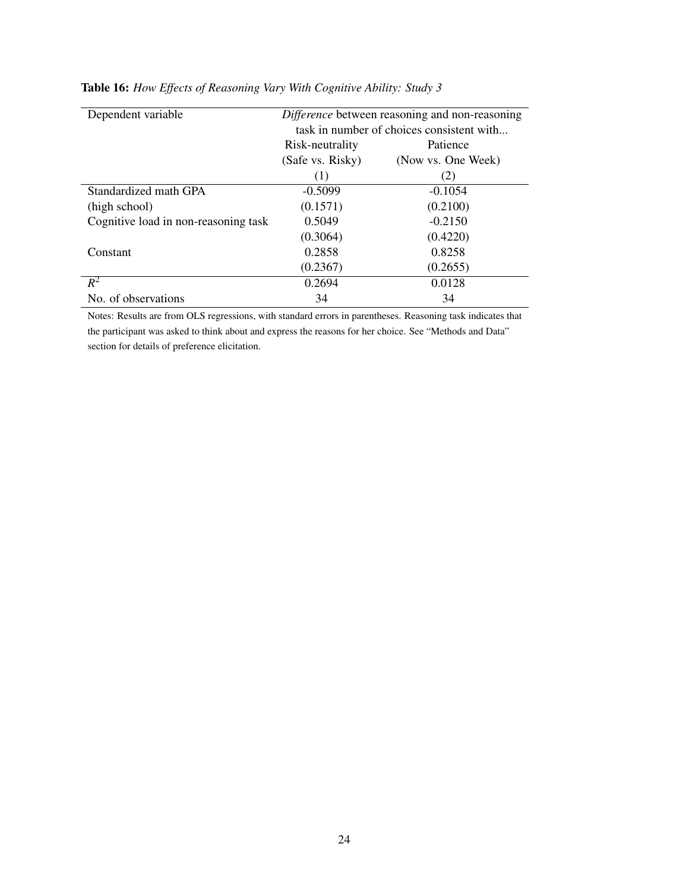| Dependent variable                   | Difference between reasoning and non-reasoning<br>task in number of choices consistent with |                    |  |  |
|--------------------------------------|---------------------------------------------------------------------------------------------|--------------------|--|--|
|                                      | Patience<br>Risk-neutrality                                                                 |                    |  |  |
|                                      | (Safe vs. Risky)                                                                            | (Now vs. One Week) |  |  |
|                                      | (1)                                                                                         | (2)                |  |  |
| Standardized math GPA                | $-0.5099$                                                                                   | $-0.1054$          |  |  |
| (high school)                        | (0.1571)                                                                                    | (0.2100)           |  |  |
| Cognitive load in non-reasoning task | 0.5049                                                                                      | $-0.2150$          |  |  |
|                                      | (0.3064)                                                                                    | (0.4220)           |  |  |
| Constant                             | 0.2858                                                                                      | 0.8258             |  |  |
|                                      | (0.2367)                                                                                    | (0.2655)           |  |  |
| $R^2$                                | 0.2694                                                                                      | 0.0128             |  |  |
| No. of observations                  | 34                                                                                          | 34                 |  |  |

## Table 16: *How Effects of Reasoning Vary With Cognitive Ability: Study 3*

Notes: Results are from OLS regressions, with standard errors in parentheses. Reasoning task indicates that the participant was asked to think about and express the reasons for her choice. See "Methods and Data" section for details of preference elicitation.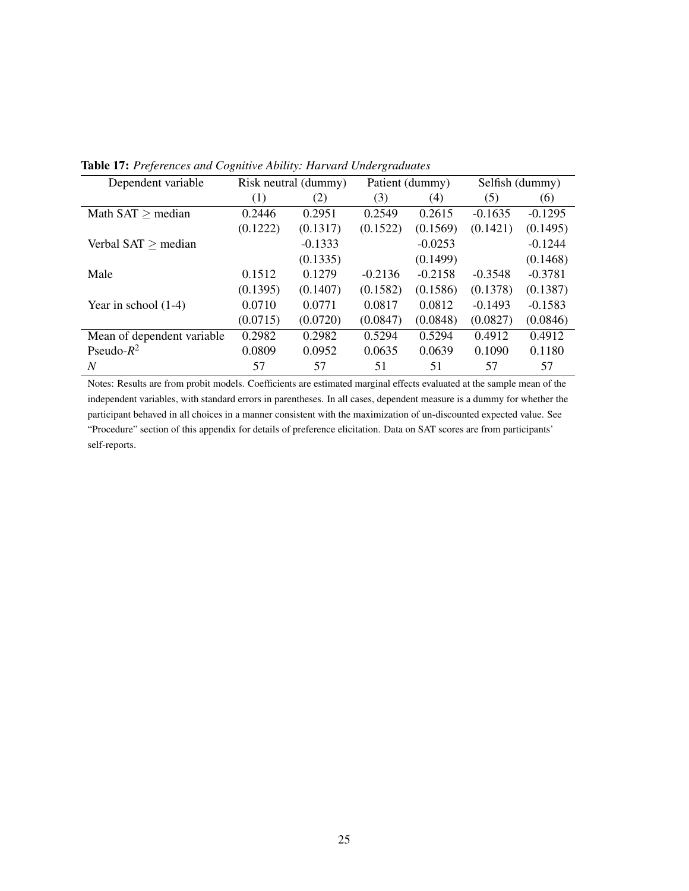| Dependent variable         | Risk neutral (dummy) |           | Patient (dummy) |           | Selfish (dummy) |           |
|----------------------------|----------------------|-----------|-----------------|-----------|-----------------|-----------|
|                            | (1)                  | (2)       | (3)             | (4)       | (5)             | (6)       |
| Math $SAT \ge$ median      | 0.2446               | 0.2951    | 0.2549          | 0.2615    | $-0.1635$       | $-0.1295$ |
|                            | (0.1222)             | (0.1317)  | (0.1522)        | (0.1569)  | (0.1421)        | (0.1495)  |
| Verbal $SAT \geq median$   |                      | $-0.1333$ |                 | $-0.0253$ |                 | $-0.1244$ |
|                            |                      | (0.1335)  |                 | (0.1499)  |                 | (0.1468)  |
| Male                       | 0.1512               | 0.1279    | $-0.2136$       | $-0.2158$ | $-0.3548$       | $-0.3781$ |
|                            | (0.1395)             | (0.1407)  | (0.1582)        | (0.1586)  | (0.1378)        | (0.1387)  |
| Year in school $(1-4)$     | 0.0710               | 0.0771    | 0.0817          | 0.0812    | $-0.1493$       | $-0.1583$ |
|                            | (0.0715)             | (0.0720)  | (0.0847)        | (0.0848)  | (0.0827)        | (0.0846)  |
| Mean of dependent variable | 0.2982               | 0.2982    | 0.5294          | 0.5294    | 0.4912          | 0.4912    |
| Pseudo- $R^2$              | 0.0809               | 0.0952    | 0.0635          | 0.0639    | 0.1090          | 0.1180    |
| N                          | 57                   | 57        | 51              | 51        | 57              | 57        |

Table 17: *Preferences and Cognitive Ability: Harvard Undergraduates*

Notes: Results are from probit models. Coefficients are estimated marginal effects evaluated at the sample mean of the independent variables, with standard errors in parentheses. In all cases, dependent measure is a dummy for whether the participant behaved in all choices in a manner consistent with the maximization of un-discounted expected value. See "Procedure" section of this appendix for details of preference elicitation. Data on SAT scores are from participants' self-reports.